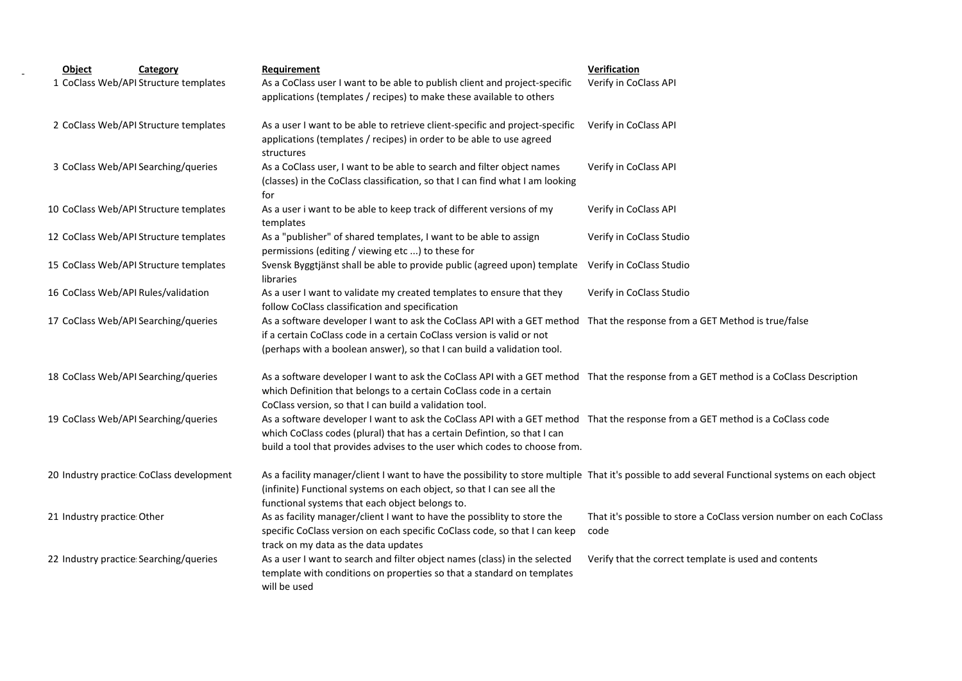| Object                     | Category                                  | Requirement                                                                                                                                            | Verification                                                         |
|----------------------------|-------------------------------------------|--------------------------------------------------------------------------------------------------------------------------------------------------------|----------------------------------------------------------------------|
|                            | 1 CoClass Web/API Structure templates     | As a CoClass user I want to be able to publish client and project-specific                                                                             | Verify in CoClass API                                                |
|                            |                                           | applications (templates / recipes) to make these available to others                                                                                   |                                                                      |
|                            | 2 CoClass Web/API Structure templates     | As a user I want to be able to retrieve client-specific and project-specific                                                                           | Verify in CoClass API                                                |
|                            |                                           | applications (templates / recipes) in order to be able to use agreed<br>structures                                                                     |                                                                      |
|                            | 3 CoClass Web/API Searching/queries       | As a CoClass user, I want to be able to search and filter object names                                                                                 | Verify in CoClass API                                                |
|                            |                                           | (classes) in the CoClass classification, so that I can find what I am looking                                                                          |                                                                      |
|                            |                                           | for                                                                                                                                                    |                                                                      |
|                            | 10 CoClass Web/API Structure templates    | As a user i want to be able to keep track of different versions of my<br>templates                                                                     | Verify in CoClass API                                                |
|                            | 12 CoClass Web/API Structure templates    | As a "publisher" of shared templates, I want to be able to assign<br>permissions (editing / viewing etc ) to these for                                 | Verify in CoClass Studio                                             |
|                            | 15 CoClass Web/API Structure templates    | Svensk Byggtjänst shall be able to provide public (agreed upon) template<br>libraries                                                                  | Verify in CoClass Studio                                             |
|                            | 16 CoClass Web/API Rules/validation       | As a user I want to validate my created templates to ensure that they                                                                                  | Verify in CoClass Studio                                             |
|                            |                                           | follow CoClass classification and specification                                                                                                        |                                                                      |
|                            | 17 CoClass Web/API Searching/queries      | As a software developer I want to ask the CoClass API with a GET method That the response from a GET Method is true/false                              |                                                                      |
|                            |                                           | if a certain CoClass code in a certain CoClass version is valid or not                                                                                 |                                                                      |
|                            |                                           | (perhaps with a boolean answer), so that I can build a validation tool.                                                                                |                                                                      |
|                            | 18 CoClass Web/API Searching/queries      | As a software developer I want to ask the CoClass API with a GET method That the response from a GET method is a CoClass Description                   |                                                                      |
|                            |                                           | which Definition that belongs to a certain CoClass code in a certain                                                                                   |                                                                      |
|                            |                                           | CoClass version, so that I can build a validation tool.                                                                                                |                                                                      |
|                            | 19 CoClass Web/API Searching/queries      | As a software developer I want to ask the CoClass API with a GET method That the response from a GET method is a CoClass code                          |                                                                      |
|                            |                                           | which CoClass codes (plural) that has a certain Defintion, so that I can                                                                               |                                                                      |
|                            |                                           | build a tool that provides advises to the user which codes to choose from.                                                                             |                                                                      |
|                            | 20 Industry practice: CoClass development | As a facility manager/client I want to have the possibility to store multiple That it's possible to add several Functional systems on each object      |                                                                      |
|                            |                                           | (infinite) Functional systems on each object, so that I can see all the                                                                                |                                                                      |
|                            |                                           | functional systems that each object belongs to.                                                                                                        |                                                                      |
| 21 Industry practice Other |                                           | As as facility manager/client I want to have the possiblity to store the<br>specific CoClass version on each specific CoClass code, so that I can keep | That it's possible to store a CoClass version number on each CoClass |
|                            |                                           | track on my data as the data updates                                                                                                                   | code                                                                 |
|                            | 22 Industry practice Searching/queries    | As a user I want to search and filter object names (class) in the selected                                                                             | Verify that the correct template is used and contents                |
|                            |                                           | template with conditions on properties so that a standard on templates                                                                                 |                                                                      |
|                            |                                           | will be used                                                                                                                                           |                                                                      |
|                            |                                           |                                                                                                                                                        |                                                                      |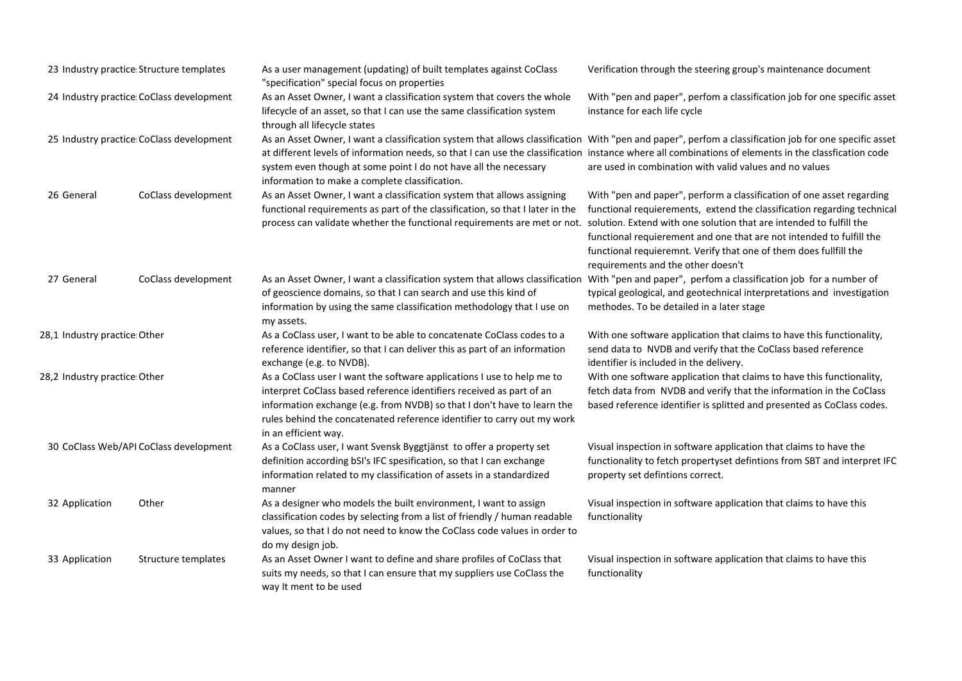| 23 Industry practice Structure templates |                                          | As a user management (updating) of built templates against CoClass<br>"specification" special focus on properties                                                                                                                                                                                                                                                                                                                   | Verification through the steering group's maintenance document                                                                                                                                                                                                                                                                                                                                             |
|------------------------------------------|------------------------------------------|-------------------------------------------------------------------------------------------------------------------------------------------------------------------------------------------------------------------------------------------------------------------------------------------------------------------------------------------------------------------------------------------------------------------------------------|------------------------------------------------------------------------------------------------------------------------------------------------------------------------------------------------------------------------------------------------------------------------------------------------------------------------------------------------------------------------------------------------------------|
| 24 Industry practice CoClass development |                                          | As an Asset Owner, I want a classification system that covers the whole<br>lifecycle of an asset, so that I can use the same classification system<br>through all lifecycle states                                                                                                                                                                                                                                                  | With "pen and paper", perfom a classification job for one specific asset<br>instance for each life cycle                                                                                                                                                                                                                                                                                                   |
|                                          | 25 Industry practice CoClass development | As an Asset Owner, I want a classification system that allows classification With "pen and paper", perfom a classification job for one specific asset<br>at different levels of information needs, so that I can use the classification instance where all combinations of elements in the classfication code<br>system even though at some point I do not have all the necessary<br>information to make a complete classification. | are used in combination with valid values and no values                                                                                                                                                                                                                                                                                                                                                    |
| 26 General                               | CoClass development                      | As an Asset Owner, I want a classification system that allows assigning<br>functional requirements as part of the classification, so that I later in the<br>process can validate whether the functional requirements are met or not.                                                                                                                                                                                                | With "pen and paper", perform a classification of one asset regarding<br>functional requierements, extend the classification regarding technical<br>solution. Extend with one solution that are intended to fulfill the<br>functional requierement and one that are not intended to fulfill the<br>functional requieremnt. Verify that one of them does fullfill the<br>requirements and the other doesn't |
| 27 General                               | CoClass development                      | As an Asset Owner, I want a classification system that allows classification<br>of geoscience domains, so that I can search and use this kind of<br>information by using the same classification methodology that I use on<br>my assets.                                                                                                                                                                                            | With "pen and paper", perfom a classification job for a number of<br>typical geological, and geotechnical interpretations and investigation<br>methodes. To be detailed in a later stage                                                                                                                                                                                                                   |
| 28,1 Industry practice Other             |                                          | As a CoClass user, I want to be able to concatenate CoClass codes to a<br>reference identifier, so that I can deliver this as part of an information<br>exchange (e.g. to NVDB).                                                                                                                                                                                                                                                    | With one software application that claims to have this functionality,<br>send data to NVDB and verify that the CoClass based reference<br>identifier is included in the delivery.                                                                                                                                                                                                                          |
| 28,2 Industry practice: Other            |                                          | As a CoClass user I want the software applications I use to help me to<br>interpret CoClass based reference identifiers received as part of an<br>information exchange (e.g. from NVDB) so that I don't have to learn the<br>rules behind the concatenated reference identifier to carry out my work<br>in an efficient way.                                                                                                        | With one software application that claims to have this functionality,<br>fetch data from NVDB and verify that the information in the CoClass<br>based reference identifier is splitted and presented as CoClass codes.                                                                                                                                                                                     |
| 30 CoClass Web/API CoClass development   |                                          | As a CoClass user, I want Svensk Byggtjänst to offer a property set<br>definition according bSI's IFC spesification, so that I can exchange<br>information related to my classification of assets in a standardized<br>manner                                                                                                                                                                                                       | Visual inspection in software application that claims to have the<br>functionality to fetch propertyset defintions from SBT and interpret IFC<br>property set defintions correct.                                                                                                                                                                                                                          |
| 32 Application                           | Other                                    | As a designer who models the built environment, I want to assign<br>classification codes by selecting from a list of friendly / human readable<br>values, so that I do not need to know the CoClass code values in order to<br>do my design job.                                                                                                                                                                                    | Visual inspection in software application that claims to have this<br>functionality                                                                                                                                                                                                                                                                                                                        |
| 33 Application                           | Structure templates                      | As an Asset Owner I want to define and share profiles of CoClass that<br>suits my needs, so that I can ensure that my suppliers use CoClass the<br>way It ment to be used                                                                                                                                                                                                                                                           | Visual inspection in software application that claims to have this<br>functionality                                                                                                                                                                                                                                                                                                                        |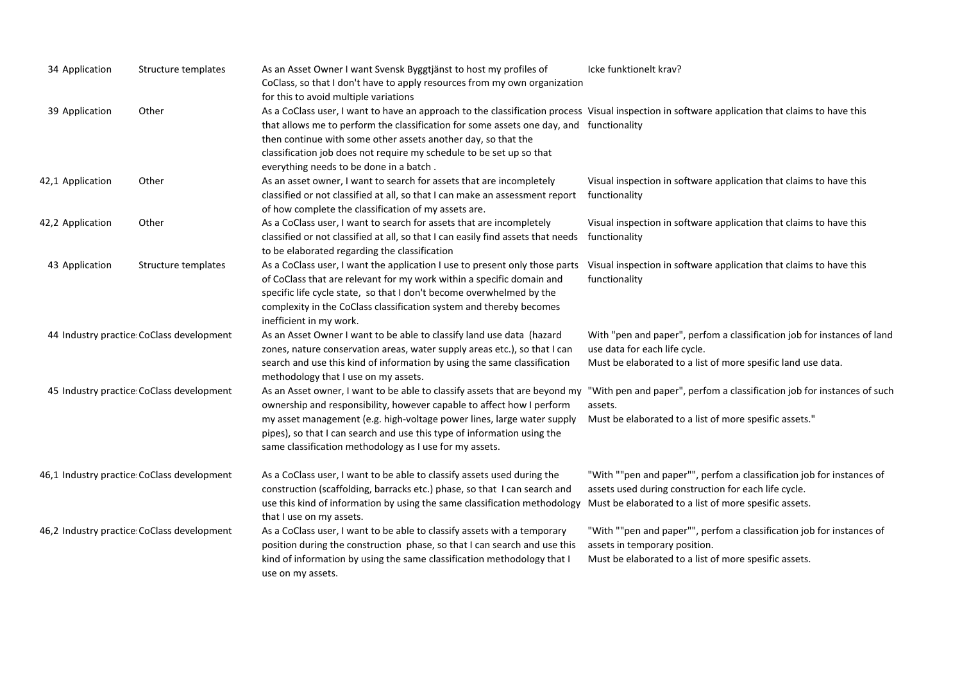| 34 Application                             | Structure templates                        | As an Asset Owner I want Svensk Byggtjänst to host my profiles of<br>CoClass, so that I don't have to apply resources from my own organization<br>for this to avoid multiple variations                                                                                                                                                                                                                                       | Icke funktionelt krav?                                                                                                                                                                 |
|--------------------------------------------|--------------------------------------------|-------------------------------------------------------------------------------------------------------------------------------------------------------------------------------------------------------------------------------------------------------------------------------------------------------------------------------------------------------------------------------------------------------------------------------|----------------------------------------------------------------------------------------------------------------------------------------------------------------------------------------|
| 39 Application                             | Other                                      | As a CoClass user, I want to have an approach to the classification process Visual inspection in software application that claims to have this<br>that allows me to perform the classification for some assets one day, and functionality<br>then continue with some other assets another day, so that the<br>classification job does not require my schedule to be set up so that<br>everything needs to be done in a batch. |                                                                                                                                                                                        |
| 42,1 Application                           | Other                                      | As an asset owner, I want to search for assets that are incompletely<br>classified or not classified at all, so that I can make an assessment report<br>of how complete the classification of my assets are.                                                                                                                                                                                                                  | Visual inspection in software application that claims to have this<br>functionality                                                                                                    |
| 42,2 Application                           | Other                                      | As a CoClass user, I want to search for assets that are incompletely<br>classified or not classified at all, so that I can easily find assets that needs<br>to be elaborated regarding the classification                                                                                                                                                                                                                     | Visual inspection in software application that claims to have this<br>functionality                                                                                                    |
| 43 Application                             | Structure templates                        | As a CoClass user, I want the application I use to present only those parts<br>of CoClass that are relevant for my work within a specific domain and<br>specific life cycle state, so that I don't become overwhelmed by the<br>complexity in the CoClass classification system and thereby becomes<br>inefficient in my work.                                                                                                | Visual inspection in software application that claims to have this<br>functionality                                                                                                    |
| 44 Industry practice CoClass development   |                                            | As an Asset Owner I want to be able to classify land use data (hazard<br>zones, nature conservation areas, water supply areas etc.), so that I can<br>search and use this kind of information by using the same classification<br>methodology that I use on my assets.                                                                                                                                                        | With "pen and paper", perfom a classification job for instances of land<br>use data for each life cycle.<br>Must be elaborated to a list of more spesific land use data.               |
| 45 Industry practice CoClass development   |                                            | As an Asset owner, I want to be able to classify assets that are beyond my<br>ownership and responsibility, however capable to affect how I perform<br>my asset management (e.g. high-voltage power lines, large water supply<br>pipes), so that I can search and use this type of information using the<br>same classification methodology as I use for my assets.                                                           | "With pen and paper", perfom a classification job for instances of such<br>assets.<br>Must be elaborated to a list of more spesific assets."                                           |
| 46,1 Industry practice CoClass development |                                            | As a CoClass user, I want to be able to classify assets used during the<br>construction (scaffolding, barracks etc.) phase, so that I can search and<br>use this kind of information by using the same classification methodology<br>that I use on my assets.                                                                                                                                                                 | "With ""pen and paper"", perfom a classification job for instances of<br>assets used during construction for each life cycle.<br>Must be elaborated to a list of more spesific assets. |
|                                            | 46,2 Industry practice CoClass development | As a CoClass user, I want to be able to classify assets with a temporary<br>position during the construction phase, so that I can search and use this<br>kind of information by using the same classification methodology that I<br>use on my assets.                                                                                                                                                                         | "With ""pen and paper"", perfom a classification job for instances of<br>assets in temporary position.<br>Must be elaborated to a list of more spesific assets.                        |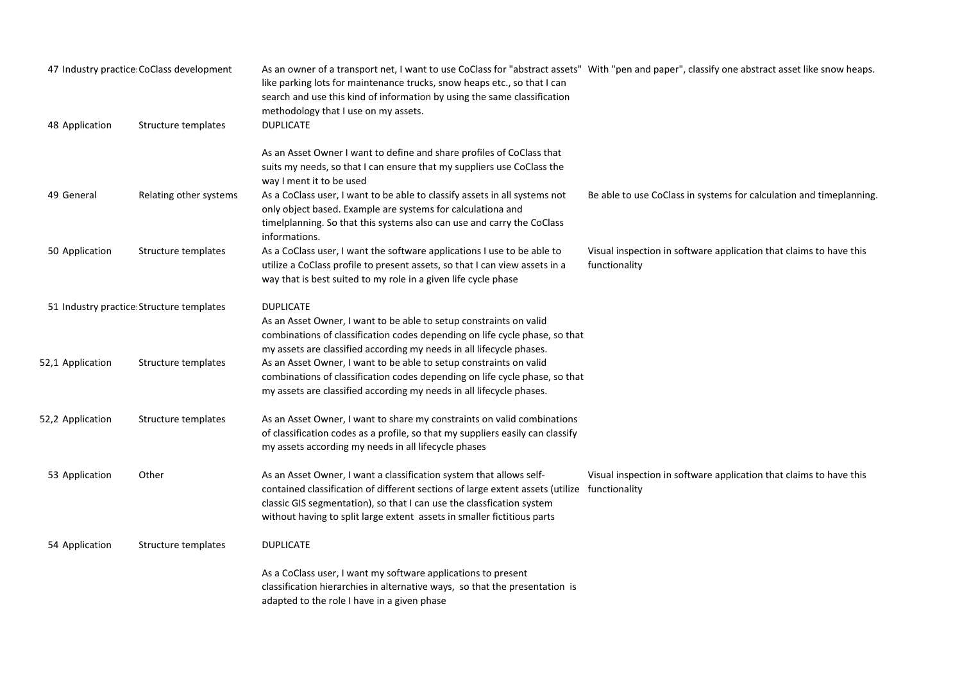| 47 Industry practice CoClass development |                                          | As an owner of a transport net, I want to use CoClass for "abstract assets" With "pen and paper", classify one abstract asset like snow heaps.<br>like parking lots for maintenance trucks, snow heaps etc., so that I can<br>search and use this kind of information by using the same classification<br>methodology that I use on my assets. |                                                                                     |
|------------------------------------------|------------------------------------------|------------------------------------------------------------------------------------------------------------------------------------------------------------------------------------------------------------------------------------------------------------------------------------------------------------------------------------------------|-------------------------------------------------------------------------------------|
| 48 Application                           | Structure templates                      | <b>DUPLICATE</b>                                                                                                                                                                                                                                                                                                                               |                                                                                     |
|                                          |                                          | As an Asset Owner I want to define and share profiles of CoClass that<br>suits my needs, so that I can ensure that my suppliers use CoClass the<br>way I ment it to be used                                                                                                                                                                    |                                                                                     |
| 49 General                               | Relating other systems                   | As a CoClass user, I want to be able to classify assets in all systems not<br>only object based. Example are systems for calculationa and<br>timelplanning. So that this systems also can use and carry the CoClass<br>informations.                                                                                                           | Be able to use CoClass in systems for calculation and timeplanning.                 |
| 50 Application                           | Structure templates                      | As a CoClass user, I want the software applications I use to be able to<br>utilize a CoClass profile to present assets, so that I can view assets in a<br>way that is best suited to my role in a given life cycle phase                                                                                                                       | Visual inspection in software application that claims to have this<br>functionality |
|                                          | 51 Industry practice Structure templates | <b>DUPLICATE</b><br>As an Asset Owner, I want to be able to setup constraints on valid<br>combinations of classification codes depending on life cycle phase, so that<br>my assets are classified according my needs in all lifecycle phases.                                                                                                  |                                                                                     |
| 52,1 Application                         | Structure templates                      | As an Asset Owner, I want to be able to setup constraints on valid<br>combinations of classification codes depending on life cycle phase, so that<br>my assets are classified according my needs in all lifecycle phases.                                                                                                                      |                                                                                     |
| 52,2 Application                         | Structure templates                      | As an Asset Owner, I want to share my constraints on valid combinations<br>of classification codes as a profile, so that my suppliers easily can classify<br>my assets according my needs in all lifecycle phases                                                                                                                              |                                                                                     |
| 53 Application                           | Other                                    | As an Asset Owner, I want a classification system that allows self-<br>contained classification of different sections of large extent assets (utilize functionality<br>classic GIS segmentation), so that I can use the classfication system<br>without having to split large extent assets in smaller fictitious parts                        | Visual inspection in software application that claims to have this                  |
| 54 Application                           | Structure templates                      | <b>DUPLICATE</b>                                                                                                                                                                                                                                                                                                                               |                                                                                     |
|                                          |                                          | As a CoClass user, I want my software applications to present<br>classification hierarchies in alternative ways, so that the presentation is<br>adapted to the role I have in a given phase                                                                                                                                                    |                                                                                     |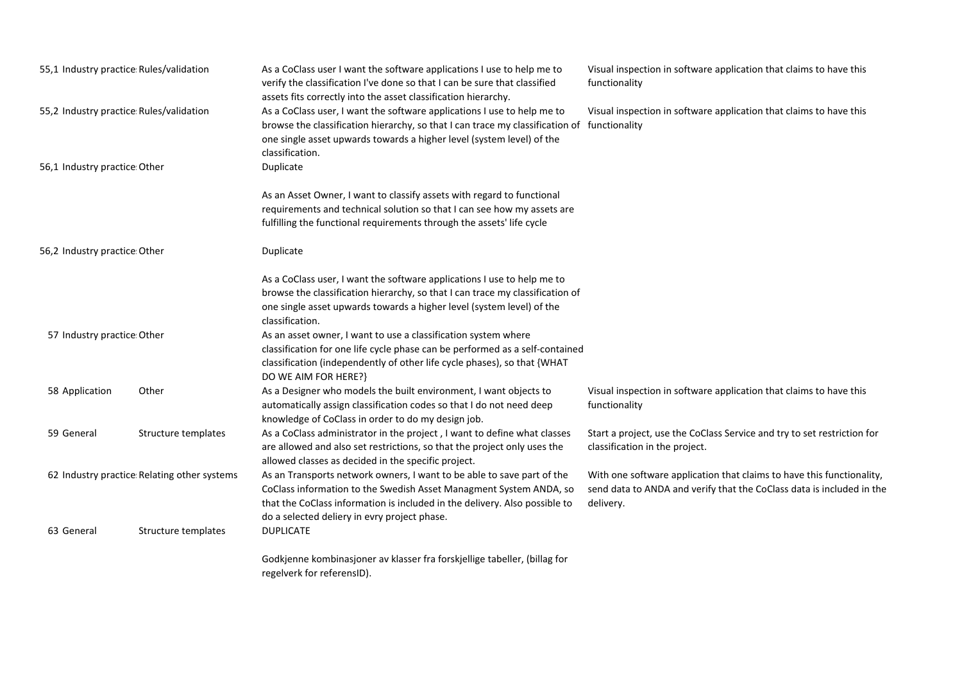| 55,1 Industry practice Rules/validation<br>55,2 Industry practice Rules/validation |                     | As a CoClass user I want the software applications I use to help me to<br>verify the classification I've done so that I can be sure that classified<br>assets fits correctly into the asset classification hierarchy.                                                                          | Visual inspection in software application that claims to have this<br>functionality                                                                         |
|------------------------------------------------------------------------------------|---------------------|------------------------------------------------------------------------------------------------------------------------------------------------------------------------------------------------------------------------------------------------------------------------------------------------|-------------------------------------------------------------------------------------------------------------------------------------------------------------|
|                                                                                    |                     | As a CoClass user, I want the software applications I use to help me to<br>browse the classification hierarchy, so that I can trace my classification of functionality<br>one single asset upwards towards a higher level (system level) of the<br>classification.                             | Visual inspection in software application that claims to have this                                                                                          |
| 56,1 Industry practice Other                                                       |                     | Duplicate                                                                                                                                                                                                                                                                                      |                                                                                                                                                             |
|                                                                                    |                     | As an Asset Owner, I want to classify assets with regard to functional<br>requirements and technical solution so that I can see how my assets are<br>fulfilling the functional requirements through the assets' life cycle                                                                     |                                                                                                                                                             |
| 56,2 Industry practice Other                                                       |                     | Duplicate                                                                                                                                                                                                                                                                                      |                                                                                                                                                             |
|                                                                                    |                     | As a CoClass user, I want the software applications I use to help me to<br>browse the classification hierarchy, so that I can trace my classification of<br>one single asset upwards towards a higher level (system level) of the<br>classification.                                           |                                                                                                                                                             |
| 57 Industry practice Other                                                         |                     | As an asset owner, I want to use a classification system where<br>classification for one life cycle phase can be performed as a self-contained<br>classification (independently of other life cycle phases), so that {WHAT<br>DO WE AIM FOR HERE?}                                             |                                                                                                                                                             |
| 58 Application                                                                     | Other               | As a Designer who models the built environment, I want objects to<br>automatically assign classification codes so that I do not need deep<br>knowledge of CoClass in order to do my design job.                                                                                                | Visual inspection in software application that claims to have this<br>functionality                                                                         |
| 59 General                                                                         | Structure templates | As a CoClass administrator in the project, I want to define what classes<br>are allowed and also set restrictions, so that the project only uses the<br>allowed classes as decided in the specific project.                                                                                    | Start a project, use the CoClass Service and try to set restriction for<br>classification in the project.                                                   |
| 62 Industry practice Relating other systems<br>63 General<br>Structure templates   |                     | As an Transports network owners, I want to be able to save part of the<br>CoClass information to the Swedish Asset Managment System ANDA, so<br>that the CoClass information is included in the delivery. Also possible to<br>do a selected deliery in evry project phase.<br><b>DUPLICATE</b> | With one software application that claims to have this functionality,<br>send data to ANDA and verify that the CoClass data is included in the<br>delivery. |
|                                                                                    |                     | Godkjenne kombinasjoner av klasser fra forskjellige tabeller, (billag for<br>regelverk for referensID).                                                                                                                                                                                        |                                                                                                                                                             |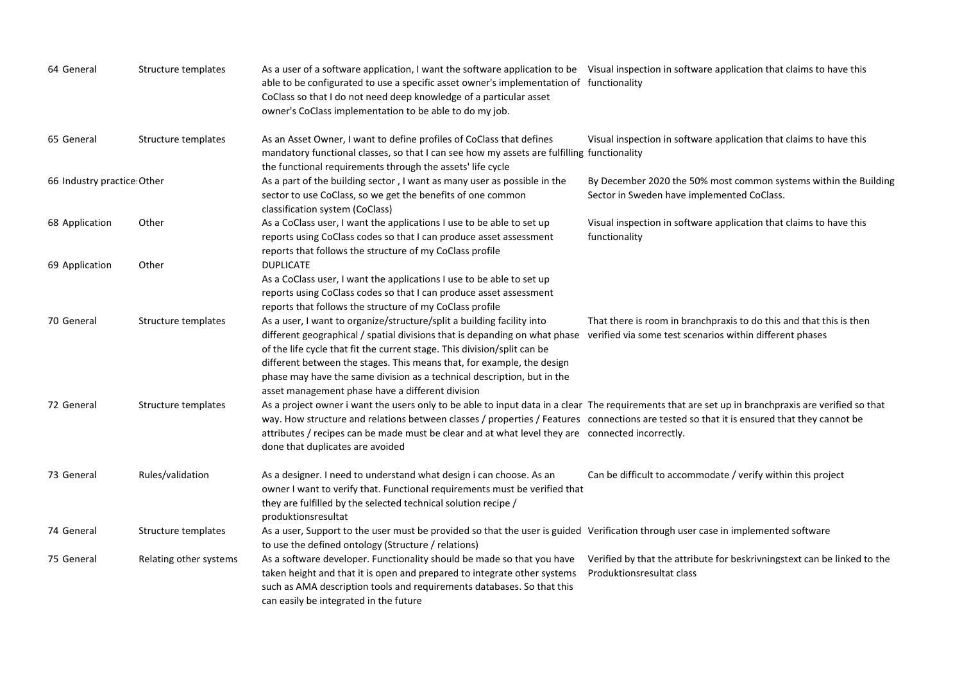| 64 General                 | Structure templates    | As a user of a software application, I want the software application to be Visual inspection in software application that claims to have this<br>able to be configurated to use a specific asset owner's implementation of functionality<br>CoClass so that I do not need deep knowledge of a particular asset<br>owner's CoClass implementation to be able to do my job.                                                                 |                                                                                                                                 |
|----------------------------|------------------------|-------------------------------------------------------------------------------------------------------------------------------------------------------------------------------------------------------------------------------------------------------------------------------------------------------------------------------------------------------------------------------------------------------------------------------------------|---------------------------------------------------------------------------------------------------------------------------------|
| 65 General                 | Structure templates    | As an Asset Owner, I want to define profiles of CoClass that defines<br>mandatory functional classes, so that I can see how my assets are fulfilling functionality<br>the functional requirements through the assets' life cycle                                                                                                                                                                                                          | Visual inspection in software application that claims to have this                                                              |
| 66 Industry practice Other |                        | As a part of the building sector, I want as many user as possible in the<br>sector to use CoClass, so we get the benefits of one common<br>classification system (CoClass)                                                                                                                                                                                                                                                                | By December 2020 the 50% most common systems within the Building<br>Sector in Sweden have implemented CoClass.                  |
| 68 Application             | Other                  | As a CoClass user, I want the applications I use to be able to set up<br>reports using CoClass codes so that I can produce asset assessment<br>reports that follows the structure of my CoClass profile                                                                                                                                                                                                                                   | Visual inspection in software application that claims to have this<br>functionality                                             |
| 69 Application             | Other                  | <b>DUPLICATE</b><br>As a CoClass user, I want the applications I use to be able to set up<br>reports using CoClass codes so that I can produce asset assessment<br>reports that follows the structure of my CoClass profile                                                                                                                                                                                                               |                                                                                                                                 |
| 70 General                 | Structure templates    | As a user, I want to organize/structure/split a building facility into<br>different geographical / spatial divisions that is depanding on what phase<br>of the life cycle that fit the current stage. This division/split can be<br>different between the stages. This means that, for example, the design<br>phase may have the same division as a technical description, but in the<br>asset management phase have a different division | That there is room in branchpraxis to do this and that this is then<br>verified via some test scenarios within different phases |
| 72 General                 | Structure templates    | As a project owner i want the users only to be able to input data in a clear The requirements that are set up in branchpraxis are verified so that<br>way. How structure and relations between classes / properties / Features connections are tested so that it is ensured that they cannot be<br>attributes / recipes can be made must be clear and at what level they are connected incorrectly.<br>done that duplicates are avoided   |                                                                                                                                 |
| 73 General                 | Rules/validation       | As a designer. I need to understand what design i can choose. As an<br>owner I want to verify that. Functional requirements must be verified that<br>they are fulfilled by the selected technical solution recipe /<br>produktionsresultat                                                                                                                                                                                                | Can be difficult to accommodate / verify within this project                                                                    |
| 74 General                 | Structure templates    | As a user, Support to the user must be provided so that the user is guided Verification through user case in implemented software<br>to use the defined ontology (Structure / relations)                                                                                                                                                                                                                                                  |                                                                                                                                 |
| 75 General                 | Relating other systems | As a software developer. Functionality should be made so that you have<br>taken height and that it is open and prepared to integrate other systems<br>such as AMA description tools and requirements databases. So that this<br>can easily be integrated in the future                                                                                                                                                                    | Verified by that the attribute for beskrivningstext can be linked to the<br>Produktionsresultat class                           |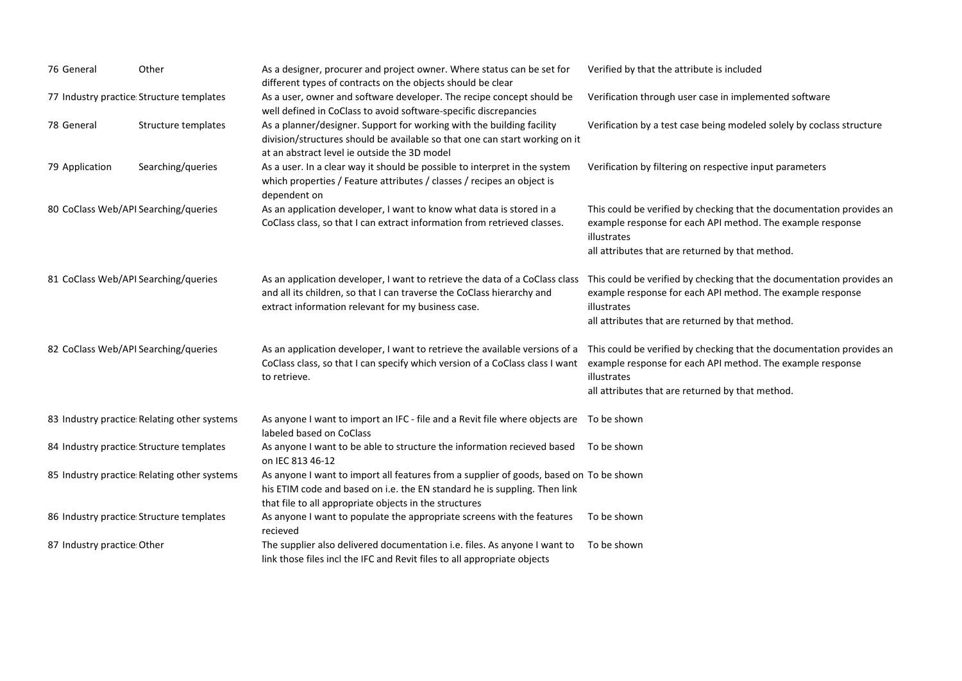| 76 General                           | Other                                       | As a designer, procurer and project owner. Where status can be set for<br>different types of contracts on the objects should be clear                                                                                                             | Verified by that the attribute is included                                                                                                                                                             |
|--------------------------------------|---------------------------------------------|---------------------------------------------------------------------------------------------------------------------------------------------------------------------------------------------------------------------------------------------------|--------------------------------------------------------------------------------------------------------------------------------------------------------------------------------------------------------|
|                                      | 77 Industry practice Structure templates    | As a user, owner and software developer. The recipe concept should be<br>well defined in CoClass to avoid software-specific discrepancies                                                                                                         | Verification through user case in implemented software                                                                                                                                                 |
| 78 General                           | Structure templates                         | As a planner/designer. Support for working with the building facility<br>division/structures should be available so that one can start working on it<br>at an abstract level ie outside the 3D model                                              | Verification by a test case being modeled solely by coclass structure                                                                                                                                  |
| 79 Application                       | Searching/queries                           | As a user. In a clear way it should be possible to interpret in the system<br>which properties / Feature attributes / classes / recipes an object is<br>dependent on                                                                              | Verification by filtering on respective input parameters                                                                                                                                               |
| 80 CoClass Web/API Searching/queries |                                             | As an application developer, I want to know what data is stored in a<br>CoClass class, so that I can extract information from retrieved classes.                                                                                                  | This could be verified by checking that the documentation provides an<br>example response for each API method. The example response<br>illustrates<br>all attributes that are returned by that method. |
| 81 CoClass Web/API Searching/queries |                                             | As an application developer, I want to retrieve the data of a CoClass class                                                                                                                                                                       | This could be verified by checking that the documentation provides an                                                                                                                                  |
|                                      |                                             | and all its children, so that I can traverse the CoClass hierarchy and<br>extract information relevant for my business case.                                                                                                                      | example response for each API method. The example response<br>illustrates<br>all attributes that are returned by that method.                                                                          |
| 82 CoClass Web/API Searching/queries |                                             | As an application developer, I want to retrieve the available versions of a This could be verified by checking that the documentation provides an<br>CoClass class, so that I can specify which version of a CoClass class I want<br>to retrieve. | example response for each API method. The example response<br>illustrates<br>all attributes that are returned by that method.                                                                          |
|                                      | 83 Industry practice Relating other systems | As anyone I want to import an IFC - file and a Revit file where objects are  To be shown<br>labeled based on CoClass                                                                                                                              |                                                                                                                                                                                                        |
|                                      | 84 Industry practice Structure templates    | As anyone I want to be able to structure the information recieved based<br>on IEC 813 46-12                                                                                                                                                       | To be shown                                                                                                                                                                                            |
|                                      | 85 Industry practice Relating other systems | As anyone I want to import all features from a supplier of goods, based on To be shown<br>his ETIM code and based on i.e. the EN standard he is suppling. Then link<br>that file to all appropriate objects in the structures                     |                                                                                                                                                                                                        |
|                                      | 86 Industry practice: Structure templates   | As anyone I want to populate the appropriate screens with the features<br>recieved                                                                                                                                                                | To be shown                                                                                                                                                                                            |
| 87 Industry practice Other           |                                             | The supplier also delivered documentation i.e. files. As anyone I want to<br>link those files incl the IFC and Revit files to all appropriate objects                                                                                             | To be shown                                                                                                                                                                                            |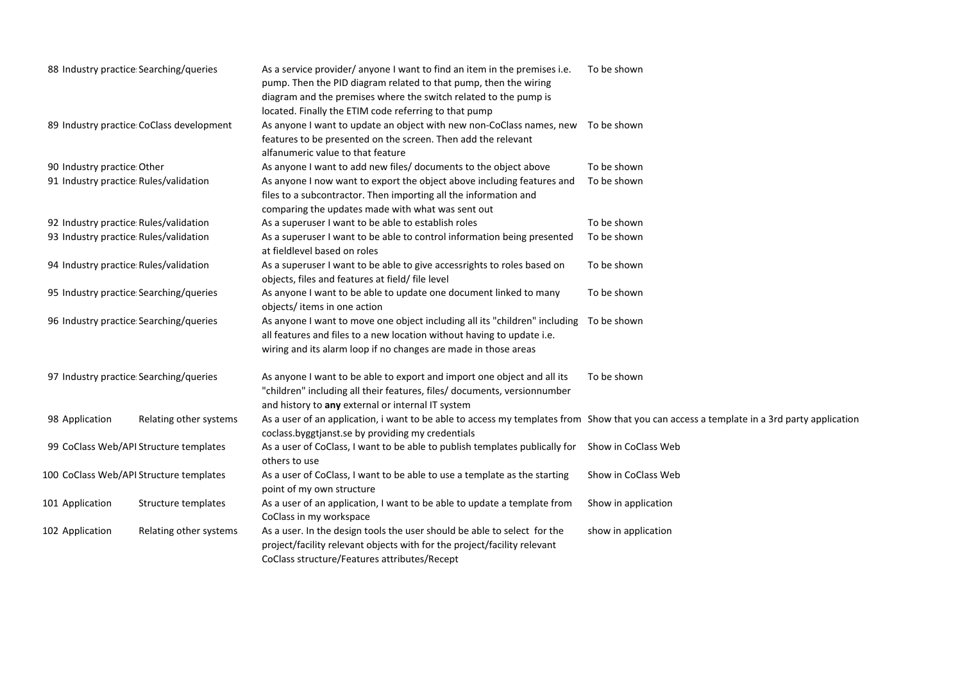|                                         | 88 Industry practice Searching/queries   | As a service provider/ anyone I want to find an item in the premises i.e.<br>pump. Then the PID diagram related to that pump, then the wiring<br>diagram and the premises where the switch related to the pump is<br>located. Finally the ETIM code referring to that pump | To be shown         |
|-----------------------------------------|------------------------------------------|----------------------------------------------------------------------------------------------------------------------------------------------------------------------------------------------------------------------------------------------------------------------------|---------------------|
|                                         | 89 Industry practice CoClass development | As anyone I want to update an object with new non-CoClass names, new<br>features to be presented on the screen. Then add the relevant<br>alfanumeric value to that feature                                                                                                 | To be shown         |
| 90 Industry practice: Other             |                                          | As anyone I want to add new files/ documents to the object above                                                                                                                                                                                                           | To be shown         |
|                                         | 91 Industry practice Rules/validation    | As anyone I now want to export the object above including features and<br>files to a subcontractor. Then importing all the information and                                                                                                                                 | To be shown         |
|                                         |                                          | comparing the updates made with what was sent out                                                                                                                                                                                                                          |                     |
|                                         | 92 Industry practice Rules/validation    | As a superuser I want to be able to establish roles                                                                                                                                                                                                                        | To be shown         |
|                                         | 93 Industry practice: Rules/validation   | As a superuser I want to be able to control information being presented<br>at fieldlevel based on roles                                                                                                                                                                    | To be shown         |
| 94 Industry practice Rules/validation   |                                          | As a superuser I want to be able to give accessrights to roles based on<br>objects, files and features at field/ file level                                                                                                                                                | To be shown         |
|                                         | 95 Industry practice Searching/queries   | As anyone I want to be able to update one document linked to many<br>objects/items in one action                                                                                                                                                                           | To be shown         |
|                                         | 96 Industry practice Searching/queries   | As anyone I want to move one object including all its "children" including<br>all features and files to a new location without having to update i.e.<br>wiring and its alarm loop if no changes are made in those areas                                                    | To be shown         |
|                                         | 97 Industry practice Searching/queries   | As anyone I want to be able to export and import one object and all its<br>"children" including all their features, files/ documents, versionnumber<br>and history to any external or internal IT system                                                                   | To be shown         |
| 98 Application                          | Relating other systems                   | As a user of an application, i want to be able to access my templates from Show that you can access a template in a 3rd party application<br>coclass.byggtjanst.se by providing my credentials                                                                             |                     |
|                                         | 99 CoClass Web/API Structure templates   | As a user of CoClass, I want to be able to publish templates publically for<br>others to use                                                                                                                                                                               | Show in CoClass Web |
| 100 CoClass Web/API Structure templates |                                          | As a user of CoClass, I want to be able to use a template as the starting<br>point of my own structure                                                                                                                                                                     | Show in CoClass Web |
| 101 Application                         | Structure templates                      | As a user of an application, I want to be able to update a template from<br>CoClass in my workspace                                                                                                                                                                        | Show in application |
| 102 Application                         | Relating other systems                   | As a user. In the design tools the user should be able to select for the<br>project/facility relevant objects with for the project/facility relevant<br>CoClass structure/Features attributes/Recept                                                                       | show in application |